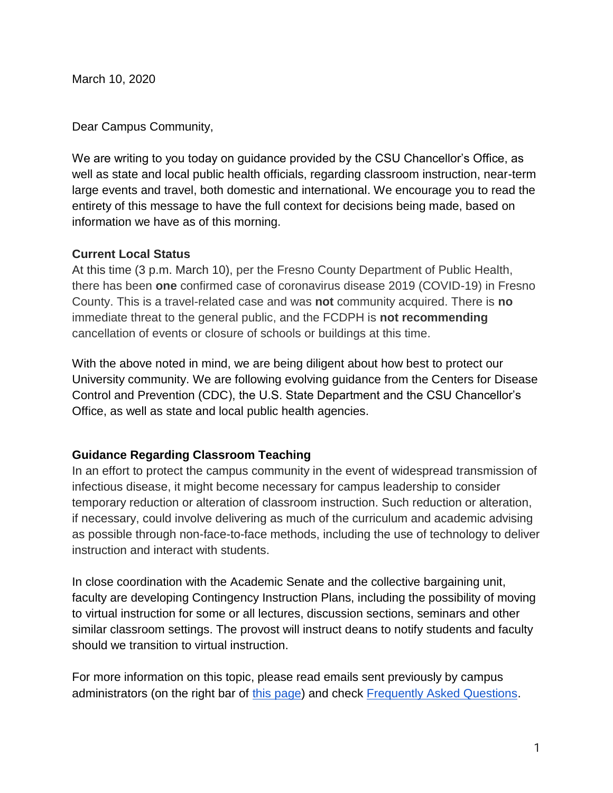March 10, 2020

Dear Campus Community,

We are writing to you today on guidance provided by the CSU Chancellor's Office, as well as state and local public health officials, regarding classroom instruction, near-term large events and travel, both domestic and international. We encourage you to read the entirety of this message to have the full context for decisions being made, based on information we have as of this morning.

## **Current Local Status**

At this time (3 p.m. March 10), per the Fresno County Department of Public Health, there has been **one** confirmed case of coronavirus disease 2019 (COVID-19) in Fresno County. This is a travel-related case and was **not** community acquired. There is **no**  immediate threat to the general public, and the FCDPH is **not recommending** cancellation of events or closure of schools or buildings at this time.

With the above noted in mind, we are being diligent about how best to protect our University community. We are following evolving guidance from the Centers for Disease Control and Prevention (CDC), the U.S. State Department and the CSU Chancellor's Office, as well as state and local public health agencies.

## **Guidance Regarding Classroom Teaching**

In an effort to protect the campus community in the event of widespread transmission of infectious disease, it might become necessary for campus leadership to consider temporary reduction or alteration of classroom instruction. Such reduction or alteration, if necessary, could involve delivering as much of the curriculum and academic advising as possible through non-face-to-face methods, including the use of technology to deliver instruction and interact with students.

In close coordination with the Academic Senate and the collective bargaining unit, faculty are developing Contingency Instruction Plans, including the possibility of moving to virtual instruction for some or all lectures, discussion sections, seminars and other similar classroom settings. The provost will instruct deans to notify students and faculty should we transition to virtual instruction.

For more information on this topic, please read emails sent previously by campus administrators (on the right bar of [this page\)](http://fresnostate.edu/president/coronavirus/index.html) and check [Frequently Asked Questions.](http://fresnostate.edu/president/coronavirus/faq.html)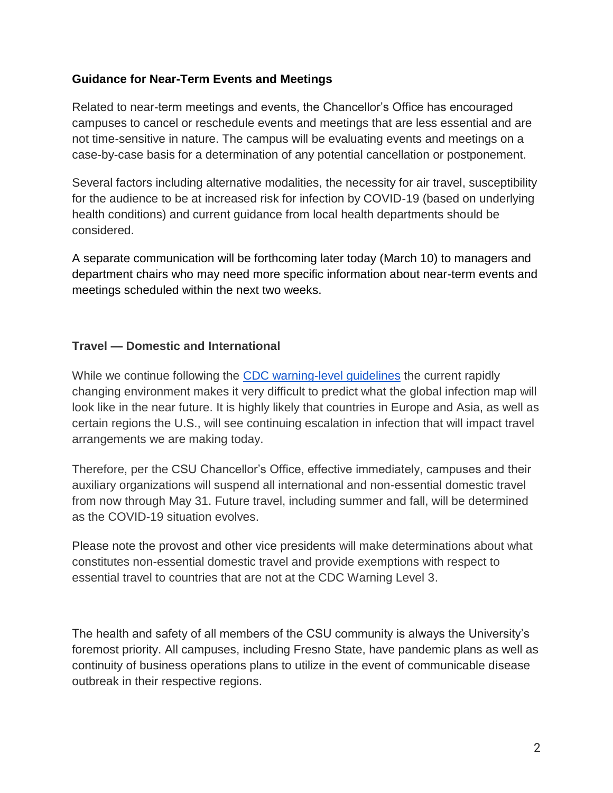## **Guidance for Near-Term Events and Meetings**

Related to near-term meetings and events, the Chancellor's Office has encouraged campuses to cancel or reschedule events and meetings that are less essential and are not time-sensitive in nature. The campus will be evaluating events and meetings on a case-by-case basis for a determination of any potential cancellation or postponement.

Several factors including alternative modalities, the necessity for air travel, susceptibility for the audience to be at increased risk for infection by COVID-19 (based on underlying health conditions) and current guidance from local health departments should be considered.

A separate communication will be forthcoming later today (March 10) to managers and department chairs who may need more specific information about near-term events and meetings scheduled within the next two weeks.

## **Travel — Domestic and International**

While we continue following the [CDC warning-level guidelines](https://www.cdc.gov/coronavirus/2019-ncov/travelers/index.html) the current rapidly changing environment makes it very difficult to predict what the global infection map will look like in the near future. It is highly likely that countries in Europe and Asia, as well as certain regions the U.S., will see continuing escalation in infection that will impact travel arrangements we are making today.

Therefore, per the CSU Chancellor's Office, effective immediately, campuses and their auxiliary organizations will suspend all international and non-essential domestic travel from now through May 31. Future travel, including summer and fall, will be determined as the COVID-19 situation evolves.

Please note the provost and other vice presidents will make determinations about what constitutes non-essential domestic travel and provide exemptions with respect to essential travel to countries that are not at the CDC Warning Level 3.

The health and safety of all members of the CSU community is always the University's foremost priority. All campuses, including Fresno State, have pandemic plans as well as continuity of business operations plans to utilize in the event of communicable disease outbreak in their respective regions.